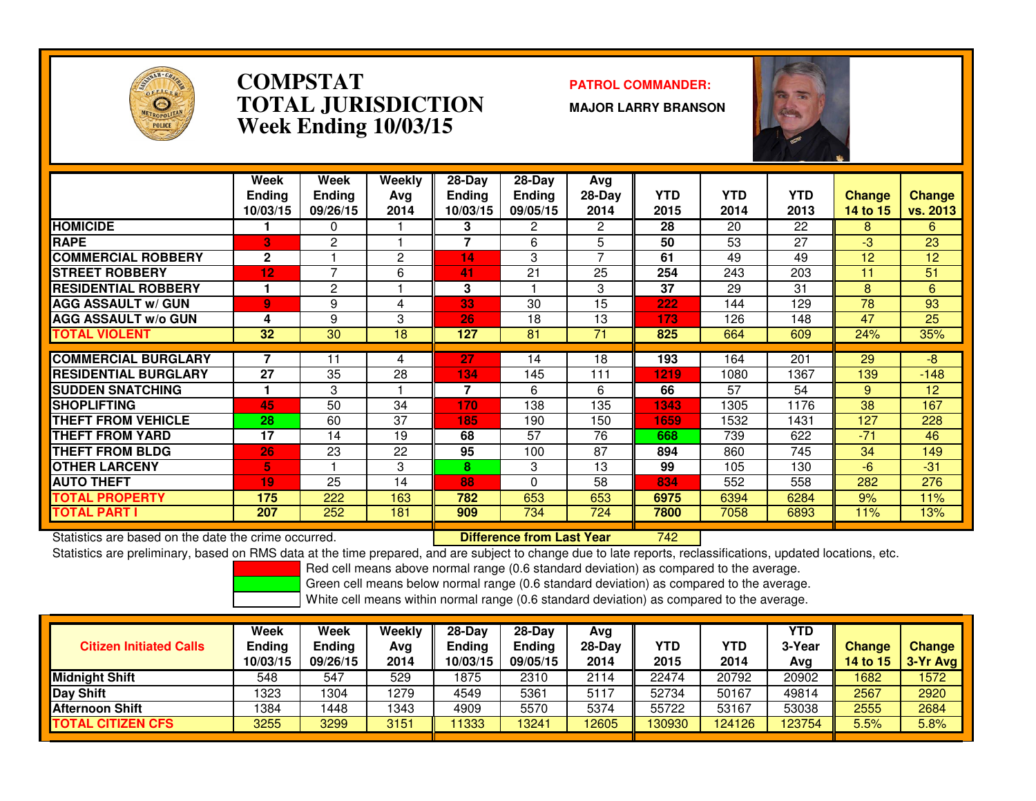

### **COMPSTAT PATROL COMMANDER: TOTAL JURISDICTIONWeek Ending 10/03/15**

**MAJOR LARRY BRANSON**



|                             | Week<br>Ending<br>10/03/15 | Week<br><b>Ending</b><br>09/26/15 | Weekly<br>Ava<br>2014 | $28-Day$<br><b>Endina</b><br>10/03/15 | $28-Day$<br><b>Ending</b><br>09/05/15 | Avg<br>$28-Dav$<br>2014 | <b>YTD</b><br>2015 | <b>YTD</b><br>2014 | <b>YTD</b><br>2013 | <b>Change</b><br>14 to 15 | <b>Change</b><br>vs. 2013 |
|-----------------------------|----------------------------|-----------------------------------|-----------------------|---------------------------------------|---------------------------------------|-------------------------|--------------------|--------------------|--------------------|---------------------------|---------------------------|
| <b>HOMICIDE</b>             |                            | 0                                 |                       | 3                                     | 2                                     | 2                       | 28                 | 20                 | 22                 | 8                         | 6                         |
| <b>RAPE</b>                 | B                          | 2                                 |                       | 7                                     | 6                                     | 5                       | 50                 | 53                 | 27                 | -3                        | 23                        |
| <b>COMMERCIAL ROBBERY</b>   | $\mathbf{2}$               |                                   | 2                     | 14                                    | 3                                     | 7                       | 61                 | 49                 | 49                 | 12                        | 12                        |
| <b>STREET ROBBERY</b>       | 12                         | 7                                 | 6                     | 41                                    | 21                                    | 25                      | 254                | 243                | 203                | 11                        | 51                        |
| <b>RESIDENTIAL ROBBERY</b>  |                            | 2                                 |                       | 3                                     |                                       | 3                       | 37                 | 29                 | 31                 | 8                         | 6                         |
| <b>AGG ASSAULT w/ GUN</b>   | $\overline{9}$             | 9                                 | 4                     | 33                                    | 30                                    | 15                      | 222                | 144                | 129                | 78                        | 93                        |
| <b>AGG ASSAULT w/o GUN</b>  | 4                          | 9                                 | 3                     | 26                                    | 18                                    | 13                      | 173                | 126                | 148                | 47                        | 25                        |
| <b>TOTAL VIOLENT</b>        | 32                         | 30                                | 18                    | 127                                   | 81                                    | 71                      | 825                | 664                | 609                | 24%                       | 35%                       |
|                             |                            |                                   |                       |                                       |                                       |                         |                    |                    |                    |                           |                           |
| <b>COMMERCIAL BURGLARY</b>  |                            | 11                                | 4                     | 27                                    | 14                                    | 18                      | 193                | 164                | 201                | 29                        | -8                        |
| <b>RESIDENTIAL BURGLARY</b> | 27                         | 35                                | 28                    | 134                                   | 145                                   | 111                     | 1219               | 1080               | 1367               | 139                       | $-148$                    |
| <b>SUDDEN SNATCHING</b>     |                            | 3                                 |                       | 7                                     | 6                                     | 6                       | 66                 | 57                 | 54                 | 9                         | 12                        |
| <b>SHOPLIFTING</b>          | 45                         | 50                                | 34                    | 170                                   | 138                                   | 135                     | 1343               | 1305               | 1176               | 38                        | 167                       |
| <b>THEFT FROM VEHICLE</b>   | 28                         | 60                                | 37                    | 185                                   | 190                                   | 150                     | 1659               | 1532               | 1431               | 127                       | 228                       |
| <b>THEFT FROM YARD</b>      | 17                         | 14                                | 19                    | 68                                    | 57                                    | 76                      | 668                | 739                | 622                | $-71$                     | 46                        |
| <b>THEFT FROM BLDG</b>      | 26                         | 23                                | 22                    | 95                                    | 100                                   | 87                      | 894                | 860                | 745                | 34                        | 149                       |
| <b>OTHER LARCENY</b>        | 5.                         |                                   | 3                     | 8                                     | 3                                     | 13                      | 99                 | 105                | 130                | -6                        | $-31$                     |
| <b>AUTO THEFT</b>           | 19                         | 25                                | 14                    | 88                                    | $\Omega$                              | 58                      | 834                | 552                | 558                | 282                       | 276                       |
| TOTAL PROPERTY              | 175                        | 222                               | 163                   | 782                                   | 653                                   | 653                     | 6975               | 6394               | 6284               | 9%                        | 11%                       |
| <b>TOTAL PART I</b>         | 207                        | 252                               | 181                   | 909                                   | 734                                   | 724                     | 7800               | 7058               | 6893               | 11%                       | 13%                       |

Statistics are based on the date the crime occurred. **Difference from Last Year** 

Statistics are based on the date the crime occurred. **Interpree the Supersed Conduct Conduct Conduct Conduct A**<br>Statistics are preliminary, based on RMS data at the time prepared, and are subject to change due to late repo

Red cell means above normal range (0.6 standard deviation) as compared to the average.

Green cell means below normal range (0.6 standard deviation) as compared to the average.

| <b>Citizen Initiated Calls</b> | Week<br><b>Ending</b><br>10/03/15 | Week<br><b>Ending</b><br>09/26/15 | Weekly<br>Avg<br>2014 | $28-Dav$<br><b>Ending</b><br>10/03/15 | $28-Day$<br><b>Ending</b><br>09/05/15 | Avg<br>$28-Day$<br>2014 | YTD<br>2015 | YTD<br>2014 | <b>YTD</b><br>3-Year<br>Avg | <b>Change</b><br>14 to $15$ | <b>Change</b><br>$3-Yr$ Avg |
|--------------------------------|-----------------------------------|-----------------------------------|-----------------------|---------------------------------------|---------------------------------------|-------------------------|-------------|-------------|-----------------------------|-----------------------------|-----------------------------|
| <b>Midnight Shift</b>          | 548                               | 547                               | 529                   | 1875                                  | 2310                                  | 2114                    | 22474       | 20792       | 20902                       | 1682                        | 1572                        |
| Day Shift                      | 1323                              | 304                               | 1279                  | 4549                                  | 5361                                  | 5117                    | 52734       | 50167       | 49814                       | 2567                        | 2920                        |
| <b>Afternoon Shift</b>         | 1384                              | 448                               | 1343                  | 4909                                  | 5570                                  | 5374                    | 55722       | 53167       | 53038                       | 2555                        | 2684                        |
| <b>TOTAL CITIZEN CFS</b>       | 3255                              | 3299                              | 3151                  | 1333                                  | 3241                                  | 12605                   | 130930      | 124126      | 123754                      | 5.5%                        | 5.8%                        |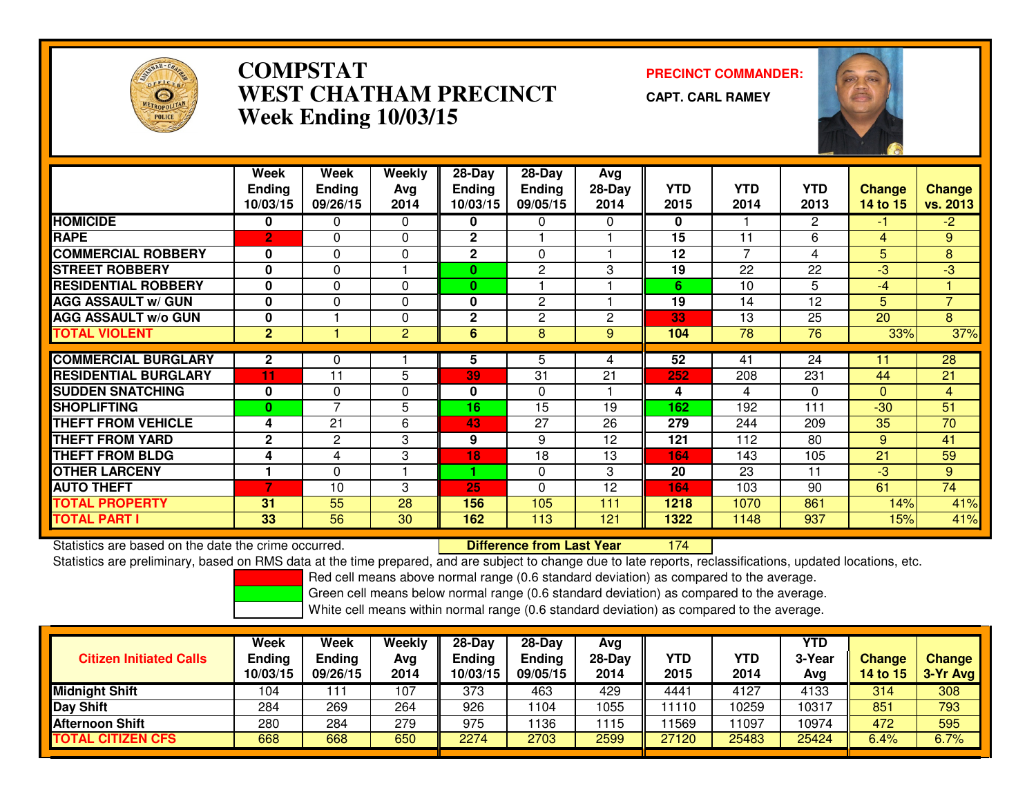

# **COMPSTAT PRECINCT COMMANDER: WEST CHATHAM PRECINCTWeek Ending 10/03/15**

**CAPT. CARL RAMEY**



|                             | Week           | Week           | <b>Weekly</b>  | $28 - Day$    | $28 - Day$     | Avg      |            |            |              |                |                |
|-----------------------------|----------------|----------------|----------------|---------------|----------------|----------|------------|------------|--------------|----------------|----------------|
|                             | <b>Ending</b>  | <b>Ending</b>  | Avg            | <b>Ending</b> | <b>Ending</b>  | $28-Day$ | <b>YTD</b> | <b>YTD</b> | <b>YTD</b>   | <b>Change</b>  | <b>Change</b>  |
|                             | 10/03/15       | 09/26/15       | 2014           | 10/03/15      | 09/05/15       | 2014     | 2015       | 2014       | 2013         | 14 to 15       | vs. 2013       |
| <b>HOMICIDE</b>             | 0              | 0              | $\Omega$       | 0             | 0              | 0        | 0          |            | $\mathbf{2}$ | $-1$           | $-2$           |
| <b>RAPE</b>                 | $\overline{2}$ | 0              | $\Omega$       | $\mathbf{2}$  |                |          | 15         | 11         | 6            | $\overline{4}$ | 9              |
| <b>COMMERCIAL ROBBERY</b>   | $\mathbf{0}$   | $\Omega$       | 0              | $\mathbf{2}$  | $\Omega$       |          | 12         | 7          | 4            | 5              | 8              |
| <b>STREET ROBBERY</b>       | $\mathbf{0}$   | 0              |                | $\mathbf{0}$  | $\overline{2}$ | 3        | 19         | 22         | 22           | -3             | $-3$           |
| <b>RESIDENTIAL ROBBERY</b>  | $\mathbf 0$    | $\Omega$       | $\Omega$       | $\mathbf{0}$  |                |          | 6          | 10         | 5            | $-4$           |                |
| <b>AGG ASSAULT w/ GUN</b>   | $\bf{0}$       | $\Omega$       | $\Omega$       | 0             | $\overline{2}$ |          | 19         | 14         | 12           | 5              | $\overline{7}$ |
| <b>AGG ASSAULT w/o GUN</b>  | 0              |                | $\Omega$       | $\mathbf 2$   | $\overline{2}$ | 2        | 33         | 13         | 25           | 20             | 8              |
| <b>TOTAL VIOLENT</b>        | $\overline{2}$ |                | $\overline{2}$ | 6             | 8              | 9        | 104        | 78         | 76           | 33%            | 37%            |
|                             |                |                |                |               |                |          |            |            |              |                |                |
| <b>COMMERCIAL BURGLARY</b>  | $\mathbf{2}$   | 0              |                | 5             | 5              | 4        | 52         | 41         | 24           | 11             | 28             |
| <b>RESIDENTIAL BURGLARY</b> | 11             | 11             | 5              | 39            | 31             | 21       | 252        | 208        | 231          | 44             | 21             |
| <b>SUDDEN SNATCHING</b>     | 0              | 0              | 0              | 0             | $\Omega$       |          | 4          | 4          | $\Omega$     | $\Omega$       | $\overline{4}$ |
| <b>SHOPLIFTING</b>          | $\bf{0}$       | $\overline{7}$ | 5              | 16            | 15             | 19       | 162        | 192        | 111          | $-30$          | 51             |
| <b>THEFT FROM VEHICLE</b>   | 4              | 21             | 6              | 43            | 27             | 26       | 279        | 244        | 209          | 35             | 70             |
| <b>THEFT FROM YARD</b>      | $\mathbf{2}$   | 2              | 3              | 9             | 9              | 12       | 121        | 112        | 80           | 9              | 41             |
| <b>THEFT FROM BLDG</b>      | 4              | 4              | 3              | 18            | 18             | 13       | 164        | 143        | 105          | 21             | 59             |
| <b>OTHER LARCENY</b>        |                | $\Omega$       |                | 4.            | $\Omega$       | 3        | 20         | 23         | 11           | $-3$           | 9              |
| <b>AUTO THEFT</b>           | 7              | 10             | 3              | 25            | $\Omega$       | 12       | 164        | 103        | 90           | 61             | 74             |
| <b>TOTAL PROPERTY</b>       | 31             | 55             | 28             | 156           | 105            | 111      | 1218       | 1070       | 861          | 14%            | 41%            |
| <b>TOTAL PART I</b>         | 33             | 56             | 30             | 162           | 113            | 121      | 1322       | 1148       | 937          | 15%            | 41%            |

Statistics are based on the date the crime occurred. **Difference from Last Year**  <sup>174</sup>Statistics are preliminary, based on RMS data at the time prepared, and are subject to change due to late reports, reclassifications, updated locations, etc.

Red cell means above normal range (0.6 standard deviation) as compared to the average.

Green cell means below normal range (0.6 standard deviation) as compared to the average.

| <b>Citizen Initiated Calls</b> | Week<br><b>Ending</b><br>10/03/15 | Week<br><b>Ending</b><br>09/26/15 | Weekly<br>Avg<br>2014 | $28-Dav$<br>Ending<br>10/03/15 | $28-Day$<br><b>Ending</b><br>09/05/15 | Avg<br>$28-Day$<br>2014 | YTD<br>2015 | <b>YTD</b><br>2014 | YTD<br>3-Year<br>Avg | <b>Change</b><br>14 to 15 | <b>Change</b><br>3-Yr Avg |
|--------------------------------|-----------------------------------|-----------------------------------|-----------------------|--------------------------------|---------------------------------------|-------------------------|-------------|--------------------|----------------------|---------------------------|---------------------------|
| <b>Midnight Shift</b>          | 104                               |                                   | 107                   | 373                            | 463                                   | 429                     | 4441        | 4127               | 4133                 | 314                       | 308                       |
| <b>Day Shift</b>               | 284                               | 269                               | 264                   | 926                            | 104                                   | 1055                    | 11110       | 0259               | 10317                | 851                       | 793                       |
| Afternoon Shift                | 280                               | 284                               | 279                   | 975                            | 136                                   | 1115                    | 11569       | 1097               | 10974                | 472                       | 595                       |
| <b>TOTAL CITIZEN CFS</b>       | 668                               | 668                               | 650                   | 2274                           | 2703                                  | 2599                    | 27120       | 25483              | 25424                | 6.4%                      | 6.7%                      |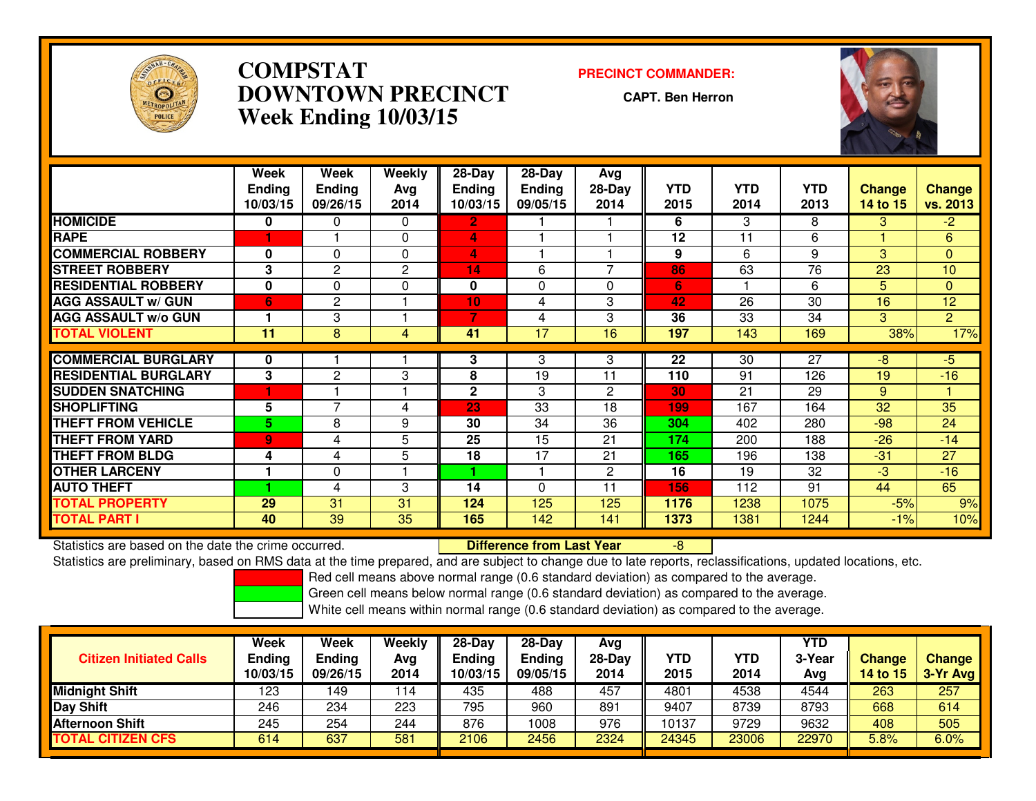

# **COMPSTAT PRECINCT COMMANDER: DOWNTOWN PRECINCTWeek Ending 10/03/15**

**CAPT. Ben Herron**



|                             | Week          | Week           | Weekly   | $28 - Day$      | $28 - Day$    | <b>Avg</b>   |      |                 |                 |               |                |
|-----------------------------|---------------|----------------|----------|-----------------|---------------|--------------|------|-----------------|-----------------|---------------|----------------|
|                             | <b>Ending</b> | <b>Ending</b>  | Avg      | <b>Ending</b>   | <b>Ending</b> | $28-Day$     | YTD  | <b>YTD</b>      | <b>YTD</b>      | <b>Change</b> | <b>Change</b>  |
|                             | 10/03/15      | 09/26/15       | 2014     | 10/03/15        | 09/05/15      | 2014         | 2015 | 2014            | 2013            | 14 to 15      | vs. 2013       |
| <b>HOMICIDE</b>             | $\bf{0}$      | 0              | $\Omega$ | $\mathbf{2}$    |               |              | 6    | 3               | 8               | 3             | $-2$           |
| <b>RAPE</b>                 |               |                | $\Omega$ | 4               |               |              | 12   | 11              | 6               |               | 6              |
| <b>COMMERCIAL ROBBERY</b>   | $\bf{0}$      | 0              | $\Omega$ | 4               |               |              | 9    | 6               | 9               | 3             | $\overline{0}$ |
| <b>STREET ROBBERY</b>       | 3             | 2              | 2        | 14              | 6             |              | 86   | 63              | 76              | 23            | 10             |
| <b>RESIDENTIAL ROBBERY</b>  | $\bf{0}$      | $\Omega$       | $\Omega$ | 0               | 0             | 0            | 6    |                 | 6               | 5             | $\Omega$       |
| <b>AGG ASSAULT w/ GUN</b>   | 6             | $\overline{2}$ |          | 10 <sub>1</sub> | 4             | 3            | 42   | 26              | 30              | 16            | 12             |
| <b>AGG ASSAULT w/o GUN</b>  |               | 3              |          | 7               | 4             | 3            | 36   | 33              | 34              | 3.            | $\overline{2}$ |
| <b>TOTAL VIOLENT</b>        | 11            | 8              | 4        | 41              | 17            | 16           | 197  | 143             | 169             | 38%           | 17%            |
|                             |               |                |          |                 |               |              |      |                 |                 |               |                |
| <b>COMMERCIAL BURGLARY</b>  | 0             |                |          | 3               | 3             | 3            | 22   | $\overline{30}$ | $\overline{27}$ | $-8$          | $-5$           |
| <b>RESIDENTIAL BURGLARY</b> | 3             | 2              | 3        | 8               | 19            | 11           | 110  | 91              | 126             | 19            | $-16$          |
| <b>SUDDEN SNATCHING</b>     |               |                |          | $\mathbf{2}$    | 3             | $\mathbf{2}$ | 30   | 21              | 29              | 9             |                |
| <b>SHOPLIFTING</b>          | 5             | $\overline{7}$ | 4        | 23              | 33            | 18           | 199  | 167             | 164             | 32            | 35             |
| <b>THEFT FROM VEHICLE</b>   | 5.            | 8              | 9        | 30              | 34            | 36           | 304  | 402             | 280             | $-98$         | 24             |
| <b>THEFT FROM YARD</b>      | 9             | 4              | 5        | 25              | 15            | 21           | 174  | 200             | 188             | $-26$         | $-14$          |
| <b>THEFT FROM BLDG</b>      | 4             | 4              | 5        | 18              | 17            | 21           | 165  | 196             | 138             | $-31$         | 27             |
| <b>OTHER LARCENY</b>        |               | 0              |          |                 |               | $\mathbf{2}$ | 16   | 19              | 32              | $-3$          | $-16$          |
| <b>AUTO THEFT</b>           |               | 4              | 3        | 14              | 0             | 11           | 156  | 112             | 91              | 44            | 65             |
| <b>TOTAL PROPERTY</b>       | 29            | 31             | 31       | 124             | 125           | 125          | 1176 | 1238            | 1075            | $-5%$         | 9%             |
| <b>TOTAL PART I</b>         | 40            | 39             | 35       | 165             | 142           | 141          | 1373 | 1381            | 1244            | $-1%$         | 10%            |

Statistics are based on the date the crime occurred. **Difference from Last Year**  -8Statistics are preliminary, based on RMS data at the time prepared, and are subject to change due to late reports, reclassifications, updated locations, etc.

Red cell means above normal range (0.6 standard deviation) as compared to the average.

Green cell means below normal range (0.6 standard deviation) as compared to the average.

| <b>Citizen Initiated Calls</b> | Week<br><b>Ending</b><br>10/03/15 | Week<br><b>Ending</b><br>09/26/15 | Weekly<br>Avg<br>2014 | $28-Dav$<br>Ending<br>10/03/15 | $28-Dav$<br><b>Ending</b><br>09/05/15 | Avg<br>28-Dav<br>2014 | YTD<br>2015 | <b>YTD</b><br>2014 | YTD<br>3-Year<br>Avg | Change<br>14 to 15 | Change<br>3-Yr Avg |
|--------------------------------|-----------------------------------|-----------------------------------|-----------------------|--------------------------------|---------------------------------------|-----------------------|-------------|--------------------|----------------------|--------------------|--------------------|
| <b>Midnight Shift</b>          | 123                               | 49ء                               | 114                   | 435                            | 488                                   | 457                   | 4801        | 4538               | 4544                 | 263                | 257                |
| <b>Day Shift</b>               | 246                               | 234                               | 223                   | 795                            | 960                                   | 891                   | 9407        | 8739               | 8793                 | 668                | 614                |
| <b>Afternoon Shift</b>         | 245                               | 254                               | 244                   | 876                            | 1008                                  | 976                   | 10137       | 9729               | 9632                 | 408                | 505                |
| <b>TOTAL CITIZEN CFS</b>       | 614                               | 637                               | 581                   | 2106                           | 2456                                  | 2324                  | 24345       | 23006              | 22970                | 5.8%               | 6.0%               |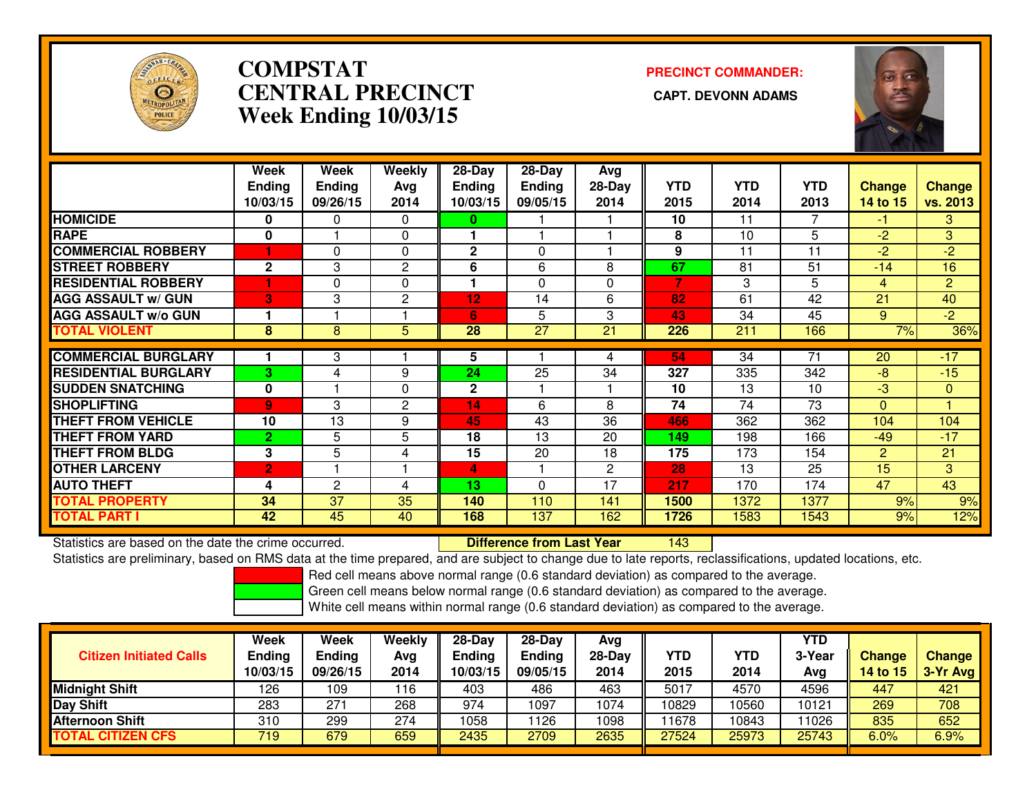

# **COMPSTATCENTRAL PRECINCT Week Ending 10/03/15**

**PRECINCT COMMANDER:**



|                             | Week           | Week          | Weekly         | 28-Day        | $28-Day$      | Avg            |            |            |            |                |                |
|-----------------------------|----------------|---------------|----------------|---------------|---------------|----------------|------------|------------|------------|----------------|----------------|
|                             | <b>Ending</b>  | <b>Ending</b> | Avg            | <b>Ending</b> | <b>Ending</b> | $28-Day$       | <b>YTD</b> | <b>YTD</b> | <b>YTD</b> | <b>Change</b>  | <b>Change</b>  |
|                             | 10/03/15       | 09/26/15      | 2014           | 10/03/15      | 09/05/15      | 2014           | 2015       | 2014       | 2013       | 14 to 15       | vs. 2013       |
| <b>HOMICIDE</b>             | $\bf{0}$       | 0             | $\Omega$       | 0             |               |                | 10         | 11         | 7          | $-1$           | 3              |
| <b>RAPE</b>                 | 0              |               | $\mathbf 0$    |               |               |                | 8          | 10         | 5          | $-2$           | 3 <sup>1</sup> |
| <b>COMMERCIAL ROBBERY</b>   |                | 0             | 0              | $\mathbf{2}$  | $\mathbf{0}$  |                | 9          | 11         | 11         | $-2$           | $-2$           |
| <b>STREET ROBBERY</b>       | $\mathbf{2}$   | 3             | $\overline{c}$ | 6             | 6             | 8              | 67         | 81         | 51         | $-14$          | 16             |
| <b>RESIDENTIAL ROBBERY</b>  |                | $\Omega$      | $\Omega$       | 1             | $\Omega$      | 0              | 7          | 3          | 5          | $\overline{4}$ | $\overline{2}$ |
| <b>AGG ASSAULT W/ GUN</b>   | 3              | 3             | $\overline{2}$ | 12            | 14            | 6              | 82         | 61         | 42         | 21             | 40             |
| <b>AGG ASSAULT w/o GUN</b>  |                |               |                | 6             | 5             | 3              | 43         | 34         | 45         | 9              | $-2$           |
| <b>TOTAL VIOLENT</b>        | 8              | 8             | 5              | 28            | 27            | 21             | 226        | 211        | 166        | 7%             | 36%            |
|                             |                |               |                |               |               |                |            |            |            |                |                |
| <b>COMMERCIAL BURGLARY</b>  |                | 3             |                | 5             |               | 4              | 54         | 34         | 71         | 20             | $-17$          |
| <b>RESIDENTIAL BURGLARY</b> | 3              | 4             | 9              | 24            | 25            | 34             | 327        | 335        | 342        | $-8$           | $-15$          |
| <b>SUDDEN SNATCHING</b>     | $\bf{0}$       |               | $\Omega$       | $\mathbf{2}$  |               |                | 10         | 13         | 10         | $-3$           | $\mathbf{0}$   |
| <b>SHOPLIFTING</b>          | $\overline{9}$ | 3             | $\mathbf{2}$   | 14            | 6             | 8              | 74         | 74         | 73         | $\Omega$       |                |
| <b>THEFT FROM VEHICLE</b>   | 10             | 13            | 9              | 45            | 43            | 36             | 466        | 362        | 362        | 104            | 104            |
| <b>THEFT FROM YARD</b>      | $\overline{2}$ | 5             | 5              | 18            | 13            | 20             | 149        | 198        | 166        | $-49$          | $-17$          |
| <b>THEFT FROM BLDG</b>      | 3              | 5             | 4              | 15            | 20            | 18             | 175        | 173        | 154        | $\overline{2}$ | 21             |
| <b>OTHER LARCENY</b>        | $\overline{2}$ |               |                | 4             |               | $\overline{2}$ | 28         | 13         | 25         | 15             | $\overline{3}$ |
| <b>AUTO THEFT</b>           | 4              | 2             | 4              | 13            | $\Omega$      | 17             | 217        | 170        | 174        | 47             | 43             |
| <b>TOTAL PROPERTY</b>       | 34             | 37            | 35             | 140           | 110           | 141            | 1500       | 1372       | 1377       | 9%             | 9%             |
| <b>TOTAL PART I</b>         | 42             | 45            | 40             | 168           | 137           | 162            | 1726       | 1583       | 1543       | 9%             | 12%            |

Statistics are based on the date the crime occurred. **Difference from Last Year** 

Statistics are based on the date the crime occurred. **Exerce the Lub of Lifterence from Last Year Norm 143 Lub**<br>Statistics are preliminary, based on RMS data at the time prepared, and are subject to change due to late repo

Red cell means above normal range (0.6 standard deviation) as compared to the average.

Green cell means below normal range (0.6 standard deviation) as compared to the average.

| <b>Citizen Initiated Calls</b> | Week<br><b>Ending</b><br>10/03/15 | Week<br><b>Ending</b><br>09/26/15 | Weekly<br>Avg<br>2014 | 28-Day<br><b>Ending</b><br>10/03/15 | $28-Dav$<br><b>Ending</b><br>09/05/15 | Ava<br>$28-Day$<br>2014 | <b>YTD</b><br>2015 | YTD<br>2014 | YTD<br>3-Year<br>Avg | <b>Change</b><br>14 to $15$ | <b>Change</b><br>3-Yr Avg |
|--------------------------------|-----------------------------------|-----------------------------------|-----------------------|-------------------------------------|---------------------------------------|-------------------------|--------------------|-------------|----------------------|-----------------------------|---------------------------|
| Midnight Shift                 | 126                               | 09 ا                              | 116                   | 403                                 | 486                                   | 463                     | 5017               | 4570        | 4596                 | 447                         | 421                       |
| Day Shift                      | 283                               | 27 <sup>1</sup>                   | 268                   | 974                                 | 097                                   | 1074                    | 10829              | 10560       | 10121                | 269                         | 708                       |
| Afternoon Shift                | 310                               | 299                               | 274                   | 1058                                | 126                                   | 1098                    | 11678              | 10843       | 11026                | 835                         | 652                       |
| <b>TOTAL CITIZEN CFS</b>       | 719                               | 679                               | 659                   | 2435                                | 2709                                  | 2635                    | 27524              | 25973       | 25743                | 6.0%                        | 6.9%                      |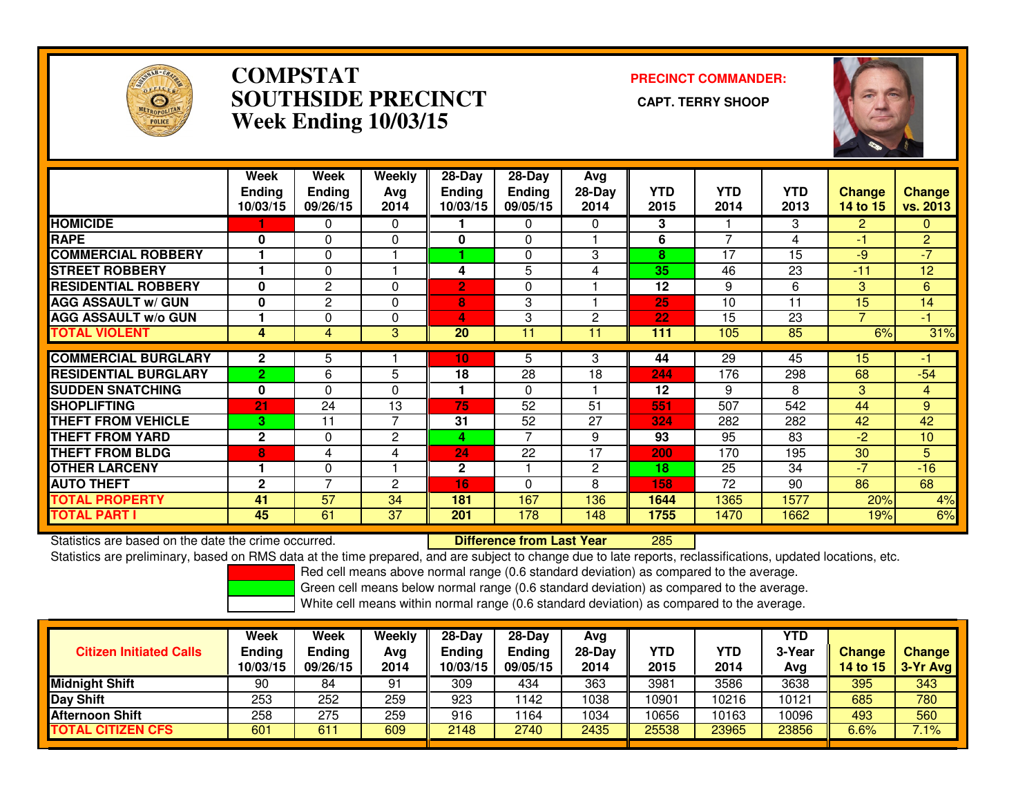

### **COMPSTAT PRECINCT COMMANDER: SOUTHSIDE PRECINCT CAPT. TERRY SHOOPWeek Ending 10/03/15**



|                             | Week<br>Endina<br>10/03/15 | Week<br><b>Endina</b><br>09/26/15 | Weekly<br>Avg<br>2014 | 28-Day<br><b>Endina</b><br>10/03/15 | $28-Day$<br><b>Ending</b><br>09/05/15 | Avg<br>$28-Day$<br>2014 | <b>YTD</b><br>2015 | <b>YTD</b><br>2014 | <b>YTD</b><br>2013 | <b>Change</b><br>14 to 15 | <b>Change</b><br>vs. 2013 |
|-----------------------------|----------------------------|-----------------------------------|-----------------------|-------------------------------------|---------------------------------------|-------------------------|--------------------|--------------------|--------------------|---------------------------|---------------------------|
| <b>HOMICIDE</b>             |                            | 0                                 | 0                     |                                     | 0                                     | 0                       | 3                  |                    | 3                  | $\overline{2}$            | 0                         |
| <b>RAPE</b>                 | $\mathbf{0}$               | 0                                 | $\Omega$              | 0                                   | $\Omega$                              |                         | 6                  | $\overline{ }$     | 4                  | -1                        | $\overline{2}$            |
| <b>COMMERCIAL ROBBERY</b>   |                            | $\Omega$                          |                       |                                     | 0                                     | 3                       | 8                  | 17                 | 15                 | $-9$                      | $-7$                      |
| <b>STREET ROBBERY</b>       |                            | 0                                 |                       | 4                                   | 5                                     | 4                       | 35                 | 46                 | 23                 | $-11$                     | 12                        |
| <b>RESIDENTIAL ROBBERY</b>  | $\Omega$                   | $\overline{2}$                    | $\Omega$              | $\mathbf{2}$                        | 0                                     |                         | 12                 | 9                  | 6                  | 3                         | 6                         |
| <b>AGG ASSAULT w/ GUN</b>   | $\mathbf 0$                | $\mathbf{2}$                      | $\Omega$              | 8                                   | 3                                     |                         | 25                 | 10                 | 11                 | 15                        | 14                        |
| <b>AGG ASSAULT w/o GUN</b>  |                            | 0                                 | 0                     | 4                                   | 3                                     | 2                       | 22                 | 15                 | 23                 | 7                         | $-1$                      |
| <b>TOTAL VIOLENT</b>        | 4                          | 4                                 | 3                     | 20                                  | 11                                    | 11                      | 111                | 105                | 85                 | 6%                        | 31%                       |
|                             |                            |                                   |                       |                                     |                                       |                         |                    |                    |                    |                           |                           |
| <b>COMMERCIAL BURGLARY</b>  | $\overline{2}$             | 5                                 |                       | 10                                  | 5                                     | 3                       | 44                 | 29                 | 45                 | 15                        | 41                        |
| <b>RESIDENTIAL BURGLARY</b> | $\overline{2}$             | 6                                 | 5                     | 18                                  | $\overline{28}$                       | 18                      | 244                | 176                | 298                | 68                        | $-54$                     |
| <b>SUDDEN SNATCHING</b>     | $\bf{0}$                   | 0                                 | $\Omega$              |                                     | $\Omega$                              |                         | 12                 | 9                  | 8                  | 3                         | $\overline{4}$            |
| <b>SHOPLIFTING</b>          | 21                         | 24                                | 13                    | 75                                  | 52                                    | 51                      | 551                | 507                | 542                | 44                        | 9                         |
| <b>THEFT FROM VEHICLE</b>   | 3.                         | 11                                | 7                     | 31                                  | 52                                    | 27                      | 324                | 282                | 282                | 42                        | 42                        |
| <b>THEFT FROM YARD</b>      | $\mathbf{2}$               | 0                                 | 2                     | 4                                   | 7                                     | 9                       | 93                 | 95                 | 83                 | $-2$                      | 10                        |
| <b>THEFT FROM BLDG</b>      | 8                          | 4                                 | 4                     | 24                                  | 22                                    | 17                      | 200                | 170                | 195                | 30                        | 5                         |
| <b>OTHER LARCENY</b>        |                            | 0                                 |                       | $\mathbf{2}$                        | 1                                     | 2                       | 18                 | 25                 | 34                 | $-7$                      | $-16$                     |
| <b>AUTO THEFT</b>           | $\mathbf{2}$               | 7                                 | 2                     | 16                                  | 0                                     | 8                       | 158                | 72                 | 90                 | 86                        | 68                        |
| <b>TOTAL PROPERTY</b>       | 41                         | 57                                | 34                    | 181                                 | 167                                   | 136                     | 1644               | 1365               | 1577               | 20%                       | 4%                        |
| <b>TOTAL PART I</b>         | 45                         | 61                                | 37                    | 201                                 | 178                                   | 148                     | 1755               | 1470               | 1662               | 19%                       | 6%                        |

Statistics are based on the date the crime occurred. **Difference from Last Year** 

<sup>285</sup>

Statistics are preliminary, based on RMS data at the time prepared, and are subject to change due to late reports, reclassifications, updated locations, etc.

Red cell means above normal range (0.6 standard deviation) as compared to the average.

Green cell means below normal range (0.6 standard deviation) as compared to the average.

| <b>Citizen Initiated Calls</b> | <b>Week</b><br><b>Ending</b><br>10/03/15 | <b>Week</b><br><b>Ending</b><br>09/26/15 | Weekly<br>Avg<br>2014 | $28-Dav$<br><b>Ending</b><br>10/03/15 | $28-Dav$<br><b>Ending</b><br>09/05/15 | Ava<br>28-Dav<br>2014 | YTD<br>2015 | YTD<br>2014 | YTD<br>3-Year<br>Ava | <b>Change</b><br><b>14 to 15</b> | <b>Change</b><br>3-Yr Avg |
|--------------------------------|------------------------------------------|------------------------------------------|-----------------------|---------------------------------------|---------------------------------------|-----------------------|-------------|-------------|----------------------|----------------------------------|---------------------------|
| <b>Midnight Shift</b>          | 90                                       | 84                                       | 91                    | 309                                   | 434                                   | 363                   | 3981        | 3586        | 3638                 | 395                              | 343                       |
| <b>Day Shift</b>               | 253                                      | 252                                      | 259                   | 923                                   | 1142                                  | 1038                  | 10901       | 0216        | 10121                | 685                              | 780                       |
| <b>Afternoon Shift</b>         | 258                                      | 275                                      | 259                   | 916                                   | 164                                   | 1034                  | 10656       | 10163       | 10096                | 493                              | 560                       |
| <b>TOTAL CITIZEN CFS</b>       | 601                                      | 611                                      | 609                   | 2148                                  | 2740                                  | 2435                  | 25538       | 23965       | 23856                | 6.6%                             | 7.1%                      |